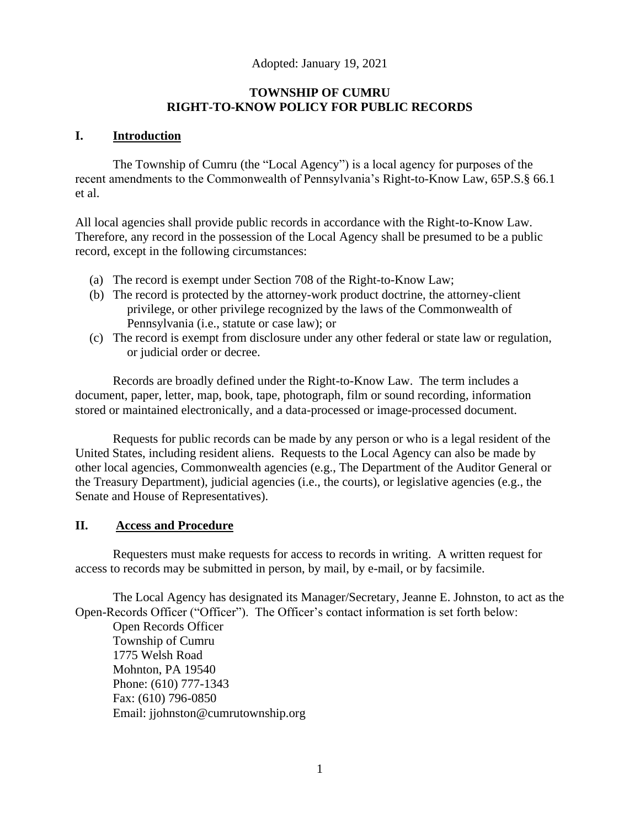# Adopted: January 19, 2021

# **TOWNSHIP OF CUMRU RIGHT-TO-KNOW POLICY FOR PUBLIC RECORDS**

#### **I. Introduction**

The Township of Cumru (the "Local Agency") is a local agency for purposes of the recent amendments to the Commonwealth of Pennsylvania's Right-to-Know Law, 65P.S.§ 66.1 et al.

All local agencies shall provide public records in accordance with the Right-to-Know Law. Therefore, any record in the possession of the Local Agency shall be presumed to be a public record, except in the following circumstances:

- (a) The record is exempt under Section 708 of the Right-to-Know Law;
- (b) The record is protected by the attorney-work product doctrine, the attorney-client privilege, or other privilege recognized by the laws of the Commonwealth of Pennsylvania (i.e., statute or case law); or
- (c) The record is exempt from disclosure under any other federal or state law or regulation, or judicial order or decree.

Records are broadly defined under the Right-to-Know Law. The term includes a document, paper, letter, map, book, tape, photograph, film or sound recording, information stored or maintained electronically, and a data-processed or image-processed document.

Requests for public records can be made by any person or who is a legal resident of the United States, including resident aliens. Requests to the Local Agency can also be made by other local agencies, Commonwealth agencies (e.g., The Department of the Auditor General or the Treasury Department), judicial agencies (i.e., the courts), or legislative agencies (e.g., the Senate and House of Representatives).

#### **II. Access and Procedure**

Requesters must make requests for access to records in writing. A written request for access to records may be submitted in person, by mail, by e-mail, or by facsimile.

The Local Agency has designated its Manager/Secretary, Jeanne E. Johnston, to act as the Open-Records Officer ("Officer"). The Officer's contact information is set forth below:

Open Records Officer Township of Cumru 1775 Welsh Road Mohnton, PA 19540 Phone: (610) 777-1343 Fax: (610) 796-0850 Email: jjohnston@cumrutownship.org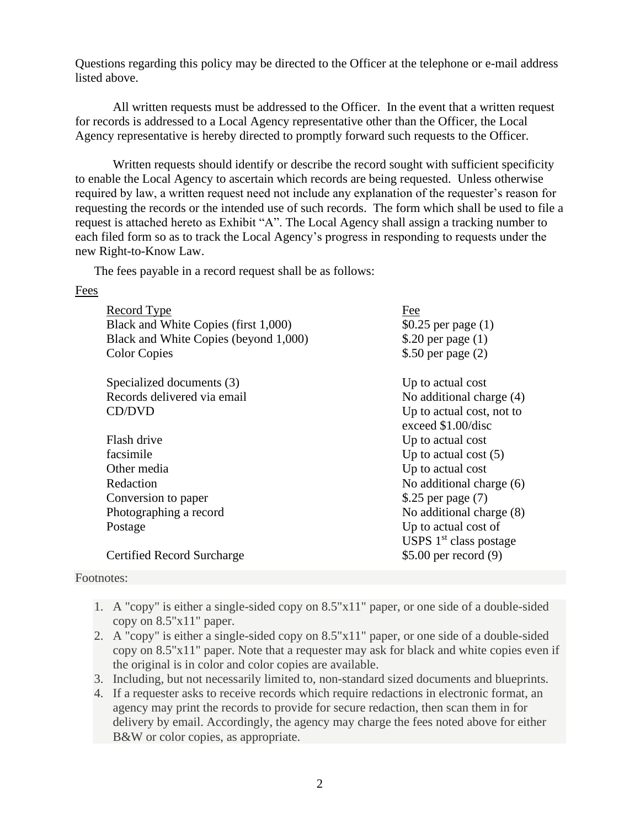Questions regarding this policy may be directed to the Officer at the telephone or e-mail address listed above.

All written requests must be addressed to the Officer. In the event that a written request for records is addressed to a Local Agency representative other than the Officer, the Local Agency representative is hereby directed to promptly forward such requests to the Officer.

Written requests should identify or describe the record sought with sufficient specificity to enable the Local Agency to ascertain which records are being requested. Unless otherwise required by law, a written request need not include any explanation of the requester's reason for requesting the records or the intended use of such records. The form which shall be used to file a request is attached hereto as Exhibit "A". The Local Agency shall assign a tracking number to each filed form so as to track the Local Agency's progress in responding to requests under the new Right-to-Know Law.

The fees payable in a record request shall be as follows:

#### Fees

| <b>Record Type</b><br>Black and White Copies (first 1,000)<br>Black and White Copies (beyond 1,000)<br><b>Color Copies</b> | Fee<br>\$0.25 per page $(1)$<br>\$.20 per page $(1)$<br>\$.50 per page $(2)$ |
|----------------------------------------------------------------------------------------------------------------------------|------------------------------------------------------------------------------|
| Specialized documents (3)                                                                                                  | Up to actual cost                                                            |
| Records delivered via email                                                                                                | No additional charge (4)                                                     |
| CD/DVD                                                                                                                     | Up to actual cost, not to<br>exceed \$1.00/disc                              |
| Flash drive                                                                                                                | Up to actual cost                                                            |
| facsimile                                                                                                                  | Up to actual cost $(5)$                                                      |
| Other media                                                                                                                | Up to actual cost                                                            |
| Redaction                                                                                                                  | No additional charge (6)                                                     |
| Conversion to paper                                                                                                        | \$.25 per page $(7)$                                                         |
| Photographing a record                                                                                                     | No additional charge (8)                                                     |
| Postage                                                                                                                    | Up to actual cost of<br>USPS $1st$ class postage                             |
| Certified Record Surcharge                                                                                                 | $$5.00$ per record $(9)$                                                     |

#### Footnotes:

- 1. A "copy" is either a single-sided copy on 8.5"x11" paper, or one side of a double-sided copy on 8.5"x11" paper.
- 2. A "copy" is either a single-sided copy on 8.5"x11" paper, or one side of a double-sided copy on 8.5"x11" paper. Note that a requester may ask for black and white copies even if the original is in color and color copies are available.
- 3. Including, but not necessarily limited to, non-standard sized documents and blueprints.
- 4. If a requester asks to receive records which require redactions in electronic format, an agency may print the records to provide for secure redaction, then scan them in for delivery by email. Accordingly, the agency may charge the fees noted above for either B&W or color copies, as appropriate.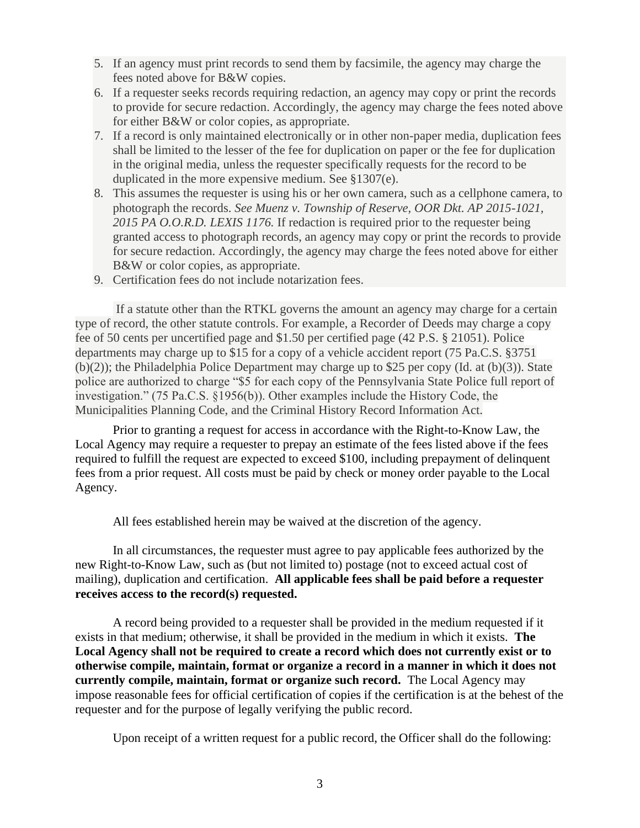- 5. If an agency must print records to send them by facsimile, the agency may charge the fees noted above for B&W copies.
- 6. If a requester seeks records requiring redaction, an agency may copy or print the records to provide for secure redaction. Accordingly, the agency may charge the fees noted above for either B&W or color copies, as appropriate.
- 7. If a record is only maintained electronically or in other non-paper media, duplication fees shall be limited to the lesser of the fee for duplication on paper or the fee for duplication in the original media, unless the requester specifically requests for the record to be duplicated in the more expensive medium. See §1307(e).
- 8. This assumes the requester is using his or her own camera, such as a cellphone camera, to photograph the records. *See Muenz v. Township of Reserve, OOR Dkt. AP 2015-1021, 2015 PA O.O.R.D. LEXIS 1176.* If redaction is required prior to the requester being granted access to photograph records, an agency may copy or print the records to provide for secure redaction. Accordingly, the agency may charge the fees noted above for either B&W or color copies, as appropriate.
- 9. Certification fees do not include notarization fees.

If a statute other than the RTKL governs the amount an agency may charge for a certain type of record, the other statute controls. For example, a Recorder of Deeds may charge a copy fee of 50 cents per uncertified page and \$1.50 per certified page (42 P.S. § 21051). Police departments may charge up to \$15 for a copy of a vehicle accident report (75 Pa.C.S. §3751 (b)(2)); the Philadelphia Police Department may charge up to \$25 per copy (Id. at (b)(3)). State police are authorized to charge "\$5 for each copy of the Pennsylvania State Police full report of investigation." (75 Pa.C.S. §1956(b)). Other examples include the History Code, the Municipalities Planning Code, and the Criminal History Record Information Act.

Prior to granting a request for access in accordance with the Right-to-Know Law, the Local Agency may require a requester to prepay an estimate of the fees listed above if the fees required to fulfill the request are expected to exceed \$100, including prepayment of delinquent fees from a prior request. All costs must be paid by check or money order payable to the Local Agency.

All fees established herein may be waived at the discretion of the agency.

In all circumstances, the requester must agree to pay applicable fees authorized by the new Right-to-Know Law, such as (but not limited to) postage (not to exceed actual cost of mailing), duplication and certification. **All applicable fees shall be paid before a requester receives access to the record(s) requested.**

A record being provided to a requester shall be provided in the medium requested if it exists in that medium; otherwise, it shall be provided in the medium in which it exists. **The Local Agency shall not be required to create a record which does not currently exist or to otherwise compile, maintain, format or organize a record in a manner in which it does not currently compile, maintain, format or organize such record.** The Local Agency may impose reasonable fees for official certification of copies if the certification is at the behest of the requester and for the purpose of legally verifying the public record.

Upon receipt of a written request for a public record, the Officer shall do the following: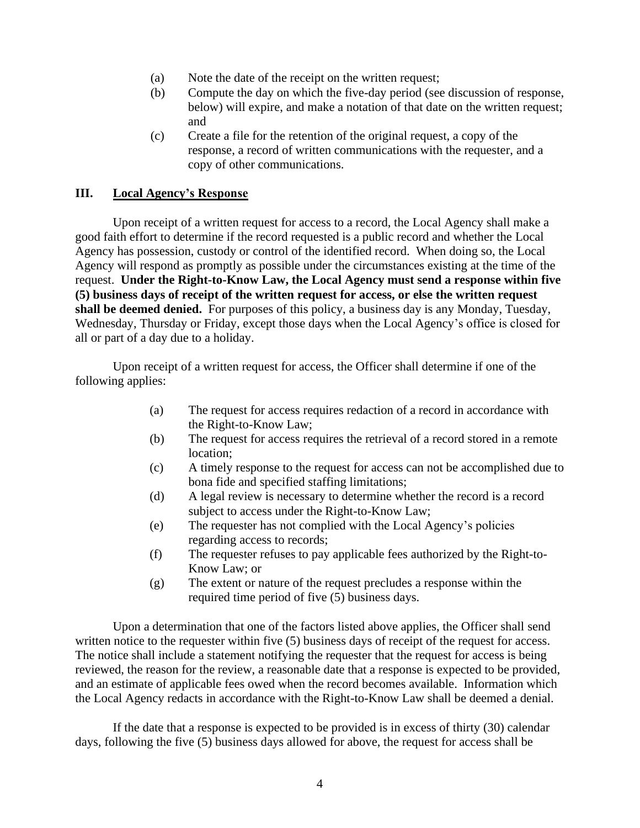- (a) Note the date of the receipt on the written request;
- (b) Compute the day on which the five-day period (see discussion of response, below) will expire, and make a notation of that date on the written request; and
- (c) Create a file for the retention of the original request, a copy of the response, a record of written communications with the requester, and a copy of other communications.

# **III. Local Agency's Response**

Upon receipt of a written request for access to a record, the Local Agency shall make a good faith effort to determine if the record requested is a public record and whether the Local Agency has possession, custody or control of the identified record. When doing so, the Local Agency will respond as promptly as possible under the circumstances existing at the time of the request. **Under the Right-to-Know Law, the Local Agency must send a response within five (5) business days of receipt of the written request for access, or else the written request shall be deemed denied.** For purposes of this policy, a business day is any Monday, Tuesday, Wednesday, Thursday or Friday, except those days when the Local Agency's office is closed for all or part of a day due to a holiday.

Upon receipt of a written request for access, the Officer shall determine if one of the following applies:

- (a) The request for access requires redaction of a record in accordance with the Right-to-Know Law;
- (b) The request for access requires the retrieval of a record stored in a remote location;
- (c) A timely response to the request for access can not be accomplished due to bona fide and specified staffing limitations;
- (d) A legal review is necessary to determine whether the record is a record subject to access under the Right-to-Know Law;
- (e) The requester has not complied with the Local Agency's policies regarding access to records;
- (f) The requester refuses to pay applicable fees authorized by the Right-to-Know Law; or
- (g) The extent or nature of the request precludes a response within the required time period of five (5) business days.

Upon a determination that one of the factors listed above applies, the Officer shall send written notice to the requester within five (5) business days of receipt of the request for access. The notice shall include a statement notifying the requester that the request for access is being reviewed, the reason for the review, a reasonable date that a response is expected to be provided, and an estimate of applicable fees owed when the record becomes available. Information which the Local Agency redacts in accordance with the Right-to-Know Law shall be deemed a denial.

If the date that a response is expected to be provided is in excess of thirty (30) calendar days, following the five (5) business days allowed for above, the request for access shall be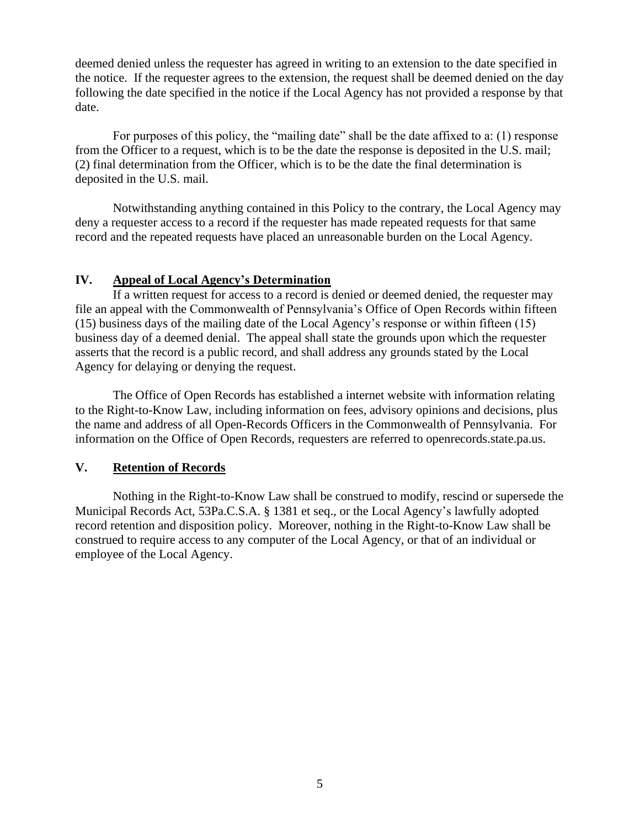deemed denied unless the requester has agreed in writing to an extension to the date specified in the notice. If the requester agrees to the extension, the request shall be deemed denied on the day following the date specified in the notice if the Local Agency has not provided a response by that date.

For purposes of this policy, the "mailing date" shall be the date affixed to a: (1) response from the Officer to a request, which is to be the date the response is deposited in the U.S. mail; (2) final determination from the Officer, which is to be the date the final determination is deposited in the U.S. mail.

Notwithstanding anything contained in this Policy to the contrary, the Local Agency may deny a requester access to a record if the requester has made repeated requests for that same record and the repeated requests have placed an unreasonable burden on the Local Agency.

# **IV. Appeal of Local Agency's Determination**

If a written request for access to a record is denied or deemed denied, the requester may file an appeal with the Commonwealth of Pennsylvania's Office of Open Records within fifteen (15) business days of the mailing date of the Local Agency's response or within fifteen (15) business day of a deemed denial. The appeal shall state the grounds upon which the requester asserts that the record is a public record, and shall address any grounds stated by the Local Agency for delaying or denying the request.

The Office of Open Records has established a internet website with information relating to the Right-to-Know Law, including information on fees, advisory opinions and decisions, plus the name and address of all Open-Records Officers in the Commonwealth of Pennsylvania. For information on the Office of Open Records, requesters are referred to openrecords.state.pa.us.

#### **V. Retention of Records**

Nothing in the Right-to-Know Law shall be construed to modify, rescind or supersede the Municipal Records Act, 53Pa.C.S.A. § 1381 et seq., or the Local Agency's lawfully adopted record retention and disposition policy. Moreover, nothing in the Right-to-Know Law shall be construed to require access to any computer of the Local Agency, or that of an individual or employee of the Local Agency.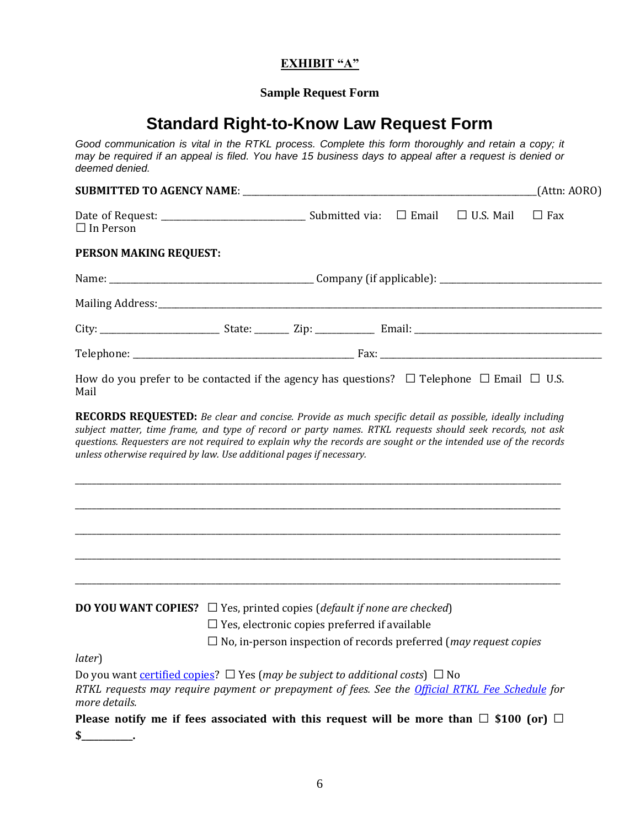# **EXHIBIT "A"**

# **Sample Request Form**

# **Standard Right-to-Know Law Request Form**

 *Good communication is vital in the RTKL process. Complete this form thoroughly and retain a copy; it may be required if an appeal is filed. You have 15 business days to appeal after a request is denied or deemed denied.*

|                                                                                                                                                                                                                                                                                                                                                                                                                                                   |                                                                                                                                          |  |                  | [Attn: AORO] |  |
|---------------------------------------------------------------------------------------------------------------------------------------------------------------------------------------------------------------------------------------------------------------------------------------------------------------------------------------------------------------------------------------------------------------------------------------------------|------------------------------------------------------------------------------------------------------------------------------------------|--|------------------|--------------|--|
| $\Box$ In Person                                                                                                                                                                                                                                                                                                                                                                                                                                  |                                                                                                                                          |  | $\Box$ U.S. Mail | $\Box$ Fax   |  |
| PERSON MAKING REQUEST:                                                                                                                                                                                                                                                                                                                                                                                                                            |                                                                                                                                          |  |                  |              |  |
|                                                                                                                                                                                                                                                                                                                                                                                                                                                   |                                                                                                                                          |  |                  |              |  |
|                                                                                                                                                                                                                                                                                                                                                                                                                                                   |                                                                                                                                          |  |                  |              |  |
|                                                                                                                                                                                                                                                                                                                                                                                                                                                   |                                                                                                                                          |  |                  |              |  |
|                                                                                                                                                                                                                                                                                                                                                                                                                                                   |                                                                                                                                          |  |                  |              |  |
| How do you prefer to be contacted if the agency has questions? $\Box$ Telephone $\Box$ Email $\Box$ U.S.<br>Mail                                                                                                                                                                                                                                                                                                                                  |                                                                                                                                          |  |                  |              |  |
| <b>RECORDS REQUESTED:</b> Be clear and concise. Provide as much specific detail as possible, ideally including<br>subject matter, time frame, and type of record or party names. RTKL requests should seek records, not ask<br>questions. Requesters are not required to explain why the records are sought or the intended use of the records<br>unless otherwise required by law. Use additional pages if necessary.                            |                                                                                                                                          |  |                  |              |  |
| <b>DO YOU WANT COPIES?</b> $\Box$ Yes, printed copies ( <i>default if none are checked</i> )<br>later)<br>Do you want certified copies? $\Box$ Yes (may be subject to additional costs) $\Box$ No<br>RTKL requests may require payment or prepayment of fees. See the <i>Official RTKL Fee Schedule</i> for<br>more details.<br>Please notify me if fees associated with this request will be more than $\Box$ \$100 (or) $\Box$<br>$\sim$ $\sim$ | $\Box$ Yes, electronic copies preferred if available<br>$\Box$ No, in-person inspection of records preferred ( <i>may request copies</i> |  |                  |              |  |